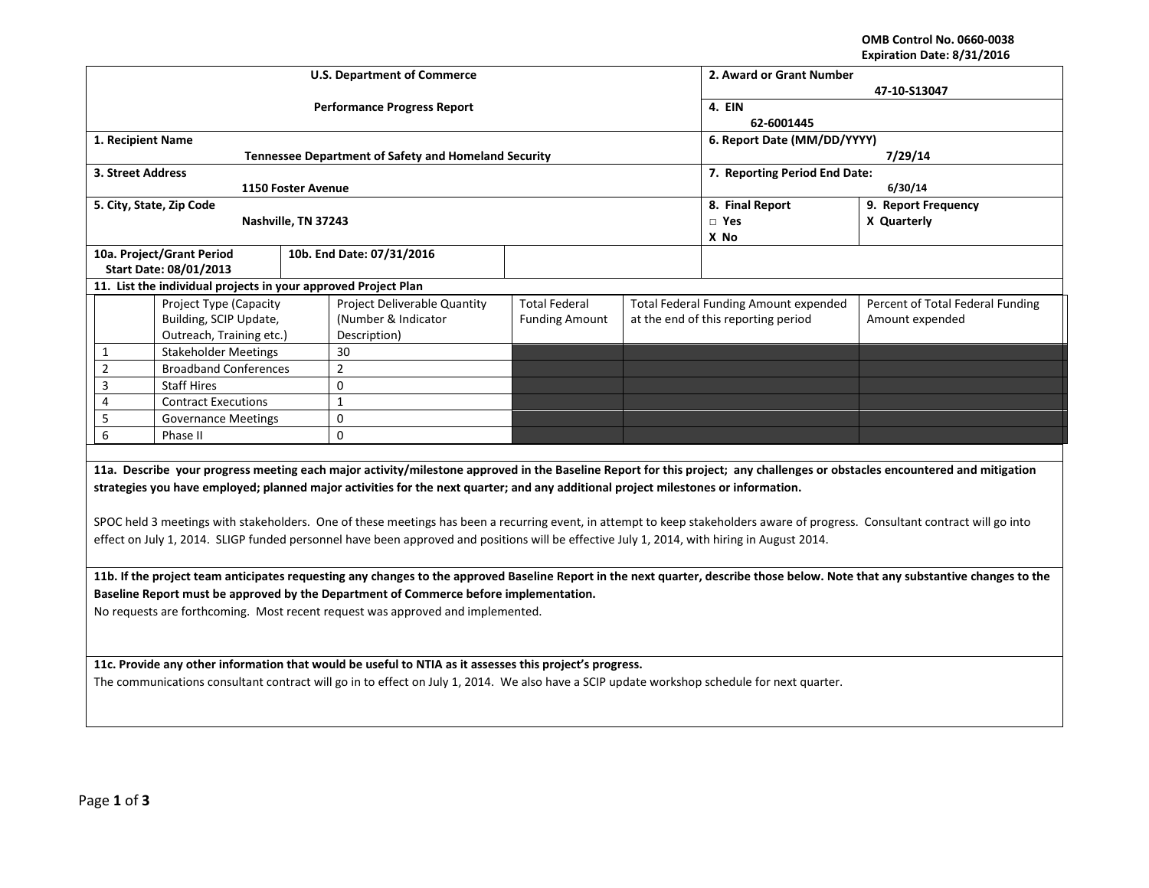**OMB Control No. 0660-0038 Expiration Date: 8/31/2016**

|                                                                                                                                                                                 | <b>U.S. Department of Commerce</b>                          |                       | 2. Award or Grant Number<br>47-10-S13047 |                                              |                                  |  |  |  |
|---------------------------------------------------------------------------------------------------------------------------------------------------------------------------------|-------------------------------------------------------------|-----------------------|------------------------------------------|----------------------------------------------|----------------------------------|--|--|--|
|                                                                                                                                                                                 | <b>Performance Progress Report</b>                          |                       | 4. EIN<br>62-6001445                     |                                              |                                  |  |  |  |
| 1. Recipient Name                                                                                                                                                               |                                                             |                       |                                          | 6. Report Date (MM/DD/YYYY)                  |                                  |  |  |  |
|                                                                                                                                                                                 | <b>Tennessee Department of Safety and Homeland Security</b> |                       |                                          | 7/29/14                                      |                                  |  |  |  |
| 3. Street Address                                                                                                                                                               |                                                             |                       |                                          | 7. Reporting Period End Date:                |                                  |  |  |  |
| 1150 Foster Avenue                                                                                                                                                              |                                                             |                       | 6/30/14                                  |                                              |                                  |  |  |  |
| 5. City, State, Zip Code                                                                                                                                                        |                                                             |                       | 8. Final Report                          | 9. Report Frequency                          |                                  |  |  |  |
| Nashville, TN 37243                                                                                                                                                             |                                                             |                       |                                          | $\Box$ Yes                                   | X Quarterly                      |  |  |  |
|                                                                                                                                                                                 |                                                             |                       |                                          | X No                                         |                                  |  |  |  |
| 10a. Project/Grant Period                                                                                                                                                       | 10b. End Date: 07/31/2016                                   |                       |                                          |                                              |                                  |  |  |  |
| <b>Start Date: 08/01/2013</b>                                                                                                                                                   |                                                             |                       |                                          |                                              |                                  |  |  |  |
| 11. List the individual projects in your approved Project Plan                                                                                                                  |                                                             |                       |                                          |                                              |                                  |  |  |  |
| Project Type (Capacity                                                                                                                                                          | Project Deliverable Quantity                                | <b>Total Federal</b>  |                                          | <b>Total Federal Funding Amount expended</b> | Percent of Total Federal Funding |  |  |  |
| Building, SCIP Update,                                                                                                                                                          | (Number & Indicator                                         | <b>Funding Amount</b> |                                          | at the end of this reporting period          | Amount expended                  |  |  |  |
| Outreach, Training etc.)                                                                                                                                                        | Description)                                                |                       |                                          |                                              |                                  |  |  |  |
| 30<br><b>Stakeholder Meetings</b><br>$\mathbf{1}$                                                                                                                               |                                                             |                       |                                          |                                              |                                  |  |  |  |
| $\overline{2}$<br>$\overline{2}$<br><b>Broadband Conferences</b>                                                                                                                |                                                             |                       |                                          |                                              |                                  |  |  |  |
| 3<br><b>Staff Hires</b><br>0                                                                                                                                                    |                                                             |                       |                                          |                                              |                                  |  |  |  |
| <b>Contract Executions</b><br>$\mathbf{1}$<br>4                                                                                                                                 |                                                             |                       |                                          |                                              |                                  |  |  |  |
| 5<br>0<br><b>Governance Meetings</b>                                                                                                                                            |                                                             |                       |                                          |                                              |                                  |  |  |  |
| 6<br>0<br>Phase II                                                                                                                                                              |                                                             |                       |                                          |                                              |                                  |  |  |  |
|                                                                                                                                                                                 |                                                             |                       |                                          |                                              |                                  |  |  |  |
| 11a. Describe your progress meeting each major activity/milestone approved in the Baseline Report for this project; any challenges or obstacles encountered and mitigation      |                                                             |                       |                                          |                                              |                                  |  |  |  |
| strategies you have employed; planned major activities for the next quarter; and any additional project milestones or information.                                              |                                                             |                       |                                          |                                              |                                  |  |  |  |
|                                                                                                                                                                                 |                                                             |                       |                                          |                                              |                                  |  |  |  |
| SPOC held 3 meetings with stakeholders. One of these meetings has been a recurring event, in attempt to keep stakeholders aware of progress. Consultant contract will go into   |                                                             |                       |                                          |                                              |                                  |  |  |  |
|                                                                                                                                                                                 |                                                             |                       |                                          |                                              |                                  |  |  |  |
| effect on July 1, 2014. SLIGP funded personnel have been approved and positions will be effective July 1, 2014, with hiring in August 2014.                                     |                                                             |                       |                                          |                                              |                                  |  |  |  |
|                                                                                                                                                                                 |                                                             |                       |                                          |                                              |                                  |  |  |  |
| 11b. If the project team anticipates requesting any changes to the approved Baseline Report in the next quarter, describe those below. Note that any substantive changes to the |                                                             |                       |                                          |                                              |                                  |  |  |  |
| Baseline Report must be approved by the Department of Commerce before implementation.                                                                                           |                                                             |                       |                                          |                                              |                                  |  |  |  |
| No requests are forthcoming. Most recent request was approved and implemented.                                                                                                  |                                                             |                       |                                          |                                              |                                  |  |  |  |
|                                                                                                                                                                                 |                                                             |                       |                                          |                                              |                                  |  |  |  |
|                                                                                                                                                                                 |                                                             |                       |                                          |                                              |                                  |  |  |  |
| 11c. Provide any other information that would be useful to NTIA as it assesses this project's progress.                                                                         |                                                             |                       |                                          |                                              |                                  |  |  |  |
| The communications consultant contract will go in to effect on July 1, 2014. We also have a SCIP update workshop schedule for next quarter.                                     |                                                             |                       |                                          |                                              |                                  |  |  |  |
|                                                                                                                                                                                 |                                                             |                       |                                          |                                              |                                  |  |  |  |
|                                                                                                                                                                                 |                                                             |                       |                                          |                                              |                                  |  |  |  |
|                                                                                                                                                                                 |                                                             |                       |                                          |                                              |                                  |  |  |  |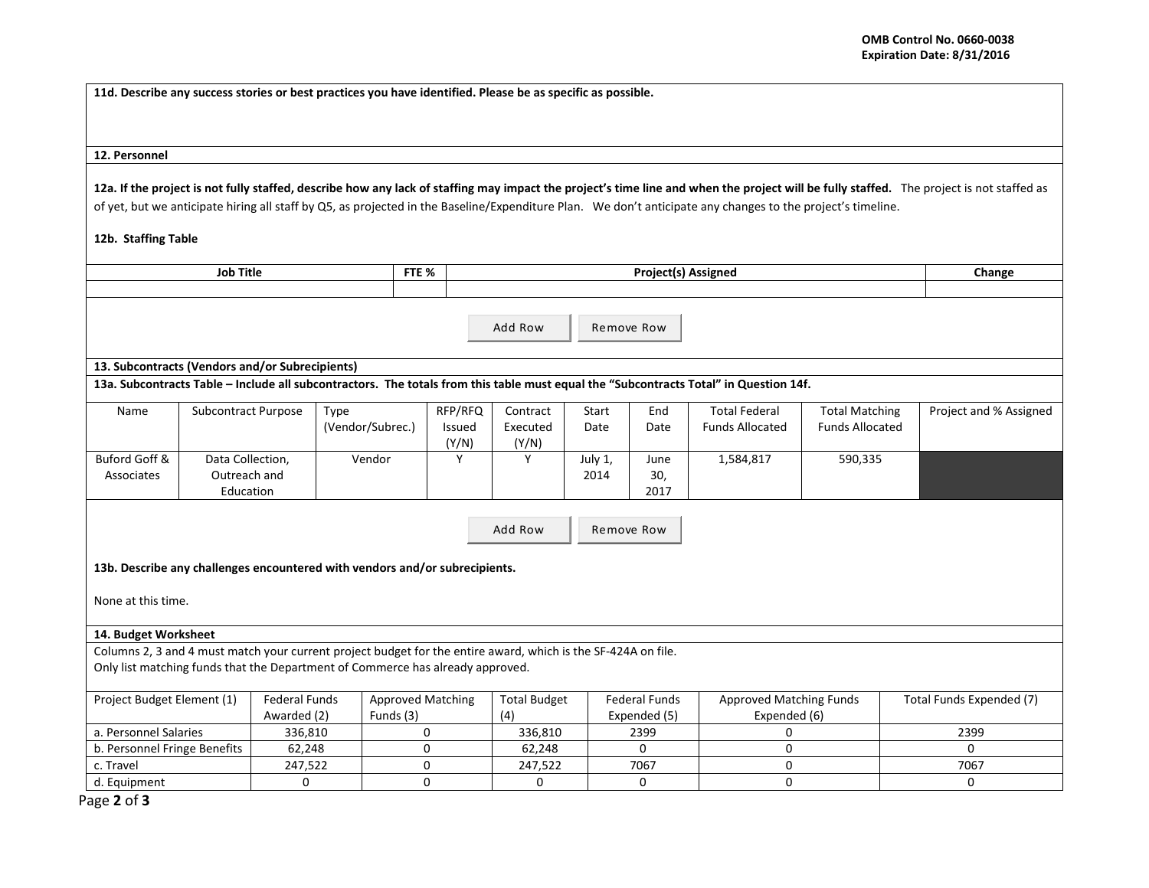**11d. Describe any success stories or best practices you have identified. Please be as specific as possible.**

## **12. Personnel**

12a. If the project is not fully staffed, describe how any lack of staffing may impact the project's time line and when the project will be fully staffed. The project is not staffed as of yet, but we anticipate hiring all staff by Q5, as projected in the Baseline/Expenditure Plan. We don't anticipate any changes to the project's timeline.

## **12b. Staffing Table**

| <b>Job Title</b><br>FTE %<br>Project(s) Assigned                                                              |                            |                                                                             |                          |              | Change              |              |                      |                                                                                                                                       |                        |                          |  |
|---------------------------------------------------------------------------------------------------------------|----------------------------|-----------------------------------------------------------------------------|--------------------------|--------------|---------------------|--------------|----------------------|---------------------------------------------------------------------------------------------------------------------------------------|------------------------|--------------------------|--|
|                                                                                                               |                            |                                                                             |                          |              |                     |              |                      |                                                                                                                                       |                        |                          |  |
|                                                                                                               |                            |                                                                             |                          |              |                     |              |                      |                                                                                                                                       |                        |                          |  |
|                                                                                                               |                            |                                                                             |                          |              | Add Row             |              | Remove Row           |                                                                                                                                       |                        |                          |  |
|                                                                                                               |                            |                                                                             |                          |              |                     |              |                      |                                                                                                                                       |                        |                          |  |
|                                                                                                               |                            |                                                                             |                          |              |                     |              |                      |                                                                                                                                       |                        |                          |  |
|                                                                                                               |                            | 13. Subcontracts (Vendors and/or Subrecipients)                             |                          |              |                     |              |                      |                                                                                                                                       |                        |                          |  |
|                                                                                                               |                            |                                                                             |                          |              |                     |              |                      | 13a. Subcontracts Table - Include all subcontractors. The totals from this table must equal the "Subcontracts Total" in Question 14f. |                        |                          |  |
| Name                                                                                                          | <b>Subcontract Purpose</b> | Type                                                                        |                          | RFP/RFQ      | Contract            | <b>Start</b> | End                  | <b>Total Federal</b>                                                                                                                  | <b>Total Matching</b>  | Project and % Assigned   |  |
|                                                                                                               |                            |                                                                             | (Vendor/Subrec.)         | Issued       | Executed            | Date         | Date                 | <b>Funds Allocated</b>                                                                                                                | <b>Funds Allocated</b> |                          |  |
|                                                                                                               |                            |                                                                             |                          | (Y/N)        | (Y/N)               |              |                      |                                                                                                                                       |                        |                          |  |
| Buford Goff &                                                                                                 | Data Collection,           |                                                                             | Vendor                   | Y            | Y                   | July 1,      | June                 | 1,584,817                                                                                                                             | 590,335                |                          |  |
| Associates                                                                                                    | Outreach and               |                                                                             |                          |              |                     | 2014         | 30,                  |                                                                                                                                       |                        |                          |  |
|                                                                                                               | Education                  |                                                                             |                          |              |                     |              | 2017                 |                                                                                                                                       |                        |                          |  |
|                                                                                                               |                            |                                                                             |                          |              |                     |              |                      |                                                                                                                                       |                        |                          |  |
|                                                                                                               |                            |                                                                             |                          |              | Add Row             |              | Remove Row           |                                                                                                                                       |                        |                          |  |
|                                                                                                               |                            |                                                                             |                          |              |                     |              |                      |                                                                                                                                       |                        |                          |  |
|                                                                                                               |                            |                                                                             |                          |              |                     |              |                      |                                                                                                                                       |                        |                          |  |
|                                                                                                               |                            | 13b. Describe any challenges encountered with vendors and/or subrecipients. |                          |              |                     |              |                      |                                                                                                                                       |                        |                          |  |
| None at this time.                                                                                            |                            |                                                                             |                          |              |                     |              |                      |                                                                                                                                       |                        |                          |  |
|                                                                                                               |                            |                                                                             |                          |              |                     |              |                      |                                                                                                                                       |                        |                          |  |
|                                                                                                               |                            |                                                                             |                          |              |                     |              |                      |                                                                                                                                       |                        |                          |  |
| 14. Budget Worksheet                                                                                          |                            |                                                                             |                          |              |                     |              |                      |                                                                                                                                       |                        |                          |  |
| Columns 2, 3 and 4 must match your current project budget for the entire award, which is the SF-424A on file. |                            |                                                                             |                          |              |                     |              |                      |                                                                                                                                       |                        |                          |  |
| Only list matching funds that the Department of Commerce has already approved.                                |                            |                                                                             |                          |              |                     |              |                      |                                                                                                                                       |                        |                          |  |
| Project Budget Element (1)                                                                                    |                            | <b>Federal Funds</b>                                                        | <b>Approved Matching</b> |              | <b>Total Budget</b> |              | <b>Federal Funds</b> | <b>Approved Matching Funds</b>                                                                                                        |                        | Total Funds Expended (7) |  |
|                                                                                                               |                            | Awarded (2)                                                                 | Funds (3)                |              | (4)                 |              | Expended (5)         | Expended (6)                                                                                                                          |                        |                          |  |
| a. Personnel Salaries                                                                                         |                            | 336,810                                                                     |                          | 0            | 336,810             |              | 2399                 | $\Omega$                                                                                                                              |                        | 2399                     |  |
| b. Personnel Fringe Benefits                                                                                  |                            | 62,248                                                                      |                          | 0            | 62,248              |              | $\Omega$             | $\mathbf 0$                                                                                                                           |                        | $\Omega$                 |  |
| c. Travel                                                                                                     |                            | 247,522                                                                     |                          | $\mathbf{0}$ | 247,522             |              | 7067                 | $\mathbf 0$                                                                                                                           |                        | 7067                     |  |
| d. Equipment                                                                                                  |                            | $\mathbf 0$                                                                 |                          | $\mathbf{0}$ | 0                   |              | 0                    | $\mathbf 0$                                                                                                                           |                        | 0                        |  |